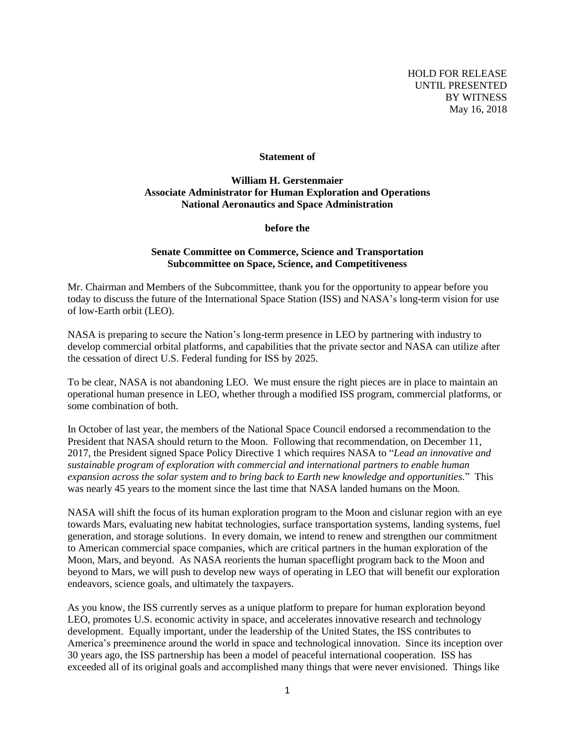HOLD FOR RELEASE UNTIL PRESENTED BY WITNESS May 16, 2018

#### **Statement of**

## **William H. Gerstenmaier Associate Administrator for Human Exploration and Operations National Aeronautics and Space Administration**

**before the**

### **Senate Committee on Commerce, Science and Transportation Subcommittee on Space, Science, and Competitiveness**

Mr. Chairman and Members of the Subcommittee, thank you for the opportunity to appear before you today to discuss the future of the International Space Station (ISS) and NASA's long-term vision for use of low-Earth orbit (LEO).

NASA is preparing to secure the Nation's long-term presence in LEO by partnering with industry to develop commercial orbital platforms, and capabilities that the private sector and NASA can utilize after the cessation of direct U.S. Federal funding for ISS by 2025.

To be clear, NASA is not abandoning LEO. We must ensure the right pieces are in place to maintain an operational human presence in LEO, whether through a modified ISS program, commercial platforms, or some combination of both.

In October of last year, the members of the National Space Council endorsed a recommendation to the President that NASA should return to the Moon. Following that recommendation, on December 11, 2017, the President signed Space Policy Directive 1 which requires NASA to "*Lead an innovative and sustainable program of exploration with commercial and international partners to enable human expansion across the solar system and to bring back to Earth new knowledge and opportunities.*" This was nearly 45 years to the moment since the last time that NASA landed humans on the Moon.

NASA will shift the focus of its human exploration program to the Moon and cislunar region with an eye towards Mars, evaluating new habitat technologies, surface transportation systems, landing systems, fuel generation, and storage solutions. In every domain, we intend to renew and strengthen our commitment to American commercial space companies, which are critical partners in the human exploration of the Moon, Mars, and beyond. As NASA reorients the human spaceflight program back to the Moon and beyond to Mars, we will push to develop new ways of operating in LEO that will benefit our exploration endeavors, science goals, and ultimately the taxpayers.

As you know, the ISS currently serves as a unique platform to prepare for human exploration beyond LEO, promotes U.S. economic activity in space, and accelerates innovative research and technology development. Equally important, under the leadership of the United States, the ISS contributes to America's preeminence around the world in space and technological innovation. Since its inception over 30 years ago, the ISS partnership has been a model of peaceful international cooperation. ISS has exceeded all of its original goals and accomplished many things that were never envisioned. Things like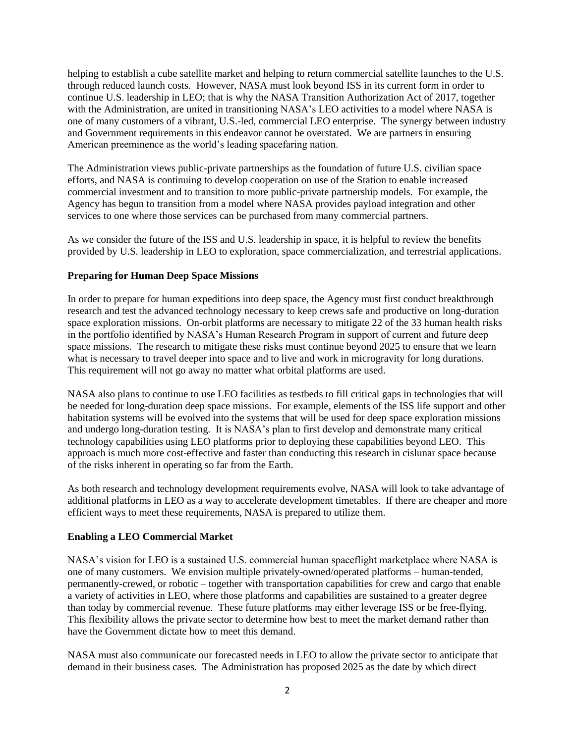helping to establish a cube satellite market and helping to return commercial satellite launches to the U.S. through reduced launch costs. However, NASA must look beyond ISS in its current form in order to continue U.S. leadership in LEO; that is why the NASA Transition Authorization Act of 2017, together with the Administration, are united in transitioning NASA's LEO activities to a model where NASA is one of many customers of a vibrant, U.S.-led, commercial LEO enterprise. The synergy between industry and Government requirements in this endeavor cannot be overstated. We are partners in ensuring American preeminence as the world's leading spacefaring nation.

The Administration views public-private partnerships as the foundation of future U.S. civilian space efforts, and NASA is continuing to develop cooperation on use of the Station to enable increased commercial investment and to transition to more public-private partnership models. For example, the Agency has begun to transition from a model where NASA provides payload integration and other services to one where those services can be purchased from many commercial partners.

As we consider the future of the ISS and U.S. leadership in space, it is helpful to review the benefits provided by U.S. leadership in LEO to exploration, space commercialization, and terrestrial applications.

## **Preparing for Human Deep Space Missions**

In order to prepare for human expeditions into deep space, the Agency must first conduct breakthrough research and test the advanced technology necessary to keep crews safe and productive on long-duration space exploration missions. On-orbit platforms are necessary to mitigate 22 of the 33 human health risks in the portfolio identified by NASA's Human Research Program in support of current and future deep space missions. The research to mitigate these risks must continue beyond 2025 to ensure that we learn what is necessary to travel deeper into space and to live and work in microgravity for long durations. This requirement will not go away no matter what orbital platforms are used.

NASA also plans to continue to use LEO facilities as testbeds to fill critical gaps in technologies that will be needed for long-duration deep space missions. For example, elements of the ISS life support and other habitation systems will be evolved into the systems that will be used for deep space exploration missions and undergo long-duration testing. It is NASA's plan to first develop and demonstrate many critical technology capabilities using LEO platforms prior to deploying these capabilities beyond LEO. This approach is much more cost-effective and faster than conducting this research in cislunar space because of the risks inherent in operating so far from the Earth.

As both research and technology development requirements evolve, NASA will look to take advantage of additional platforms in LEO as a way to accelerate development timetables. If there are cheaper and more efficient ways to meet these requirements, NASA is prepared to utilize them.

## **Enabling a LEO Commercial Market**

NASA's vision for LEO is a sustained U.S. commercial human spaceflight marketplace where NASA is one of many customers. We envision multiple privately-owned/operated platforms – human-tended, permanently-crewed, or robotic – together with transportation capabilities for crew and cargo that enable a variety of activities in LEO, where those platforms and capabilities are sustained to a greater degree than today by commercial revenue. These future platforms may either leverage ISS or be free-flying. This flexibility allows the private sector to determine how best to meet the market demand rather than have the Government dictate how to meet this demand.

NASA must also communicate our forecasted needs in LEO to allow the private sector to anticipate that demand in their business cases. The Administration has proposed 2025 as the date by which direct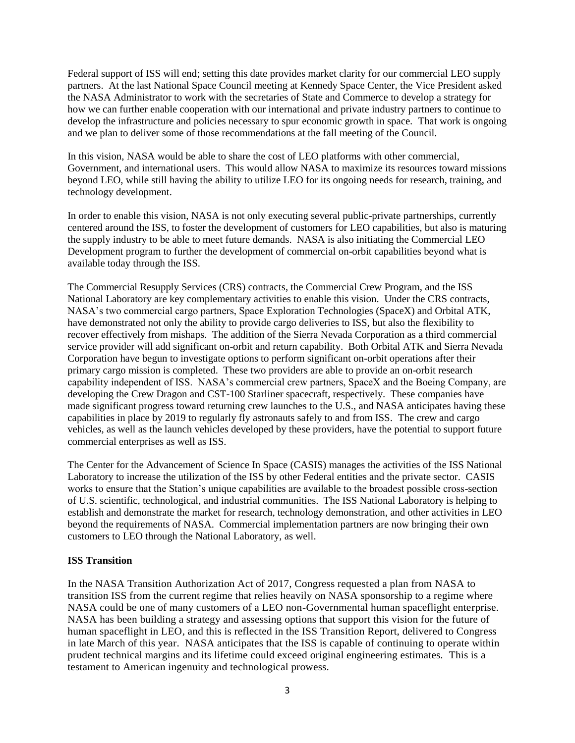Federal support of ISS will end; setting this date provides market clarity for our commercial LEO supply partners. At the last National Space Council meeting at Kennedy Space Center, the Vice President asked the NASA Administrator to work with the secretaries of State and Commerce to develop a strategy for how we can further enable cooperation with our international and private industry partners to continue to develop the infrastructure and policies necessary to spur economic growth in space. That work is ongoing and we plan to deliver some of those recommendations at the fall meeting of the Council.

In this vision, NASA would be able to share the cost of LEO platforms with other commercial, Government, and international users. This would allow NASA to maximize its resources toward missions beyond LEO, while still having the ability to utilize LEO for its ongoing needs for research, training, and technology development.

In order to enable this vision, NASA is not only executing several public-private partnerships, currently centered around the ISS, to foster the development of customers for LEO capabilities, but also is maturing the supply industry to be able to meet future demands. NASA is also initiating the Commercial LEO Development program to further the development of commercial on-orbit capabilities beyond what is available today through the ISS.

The Commercial Resupply Services (CRS) contracts, the Commercial Crew Program, and the ISS National Laboratory are key complementary activities to enable this vision. Under the CRS contracts, NASA's two commercial cargo partners, Space Exploration Technologies (SpaceX) and Orbital ATK, have demonstrated not only the ability to provide cargo deliveries to ISS, but also the flexibility to recover effectively from mishaps. The addition of the Sierra Nevada Corporation as a third commercial service provider will add significant on-orbit and return capability. Both Orbital ATK and Sierra Nevada Corporation have begun to investigate options to perform significant on-orbit operations after their primary cargo mission is completed. These two providers are able to provide an on-orbit research capability independent of ISS. NASA's commercial crew partners, SpaceX and the Boeing Company, are developing the Crew Dragon and CST-100 Starliner spacecraft, respectively. These companies have made significant progress toward returning crew launches to the U.S., and NASA anticipates having these capabilities in place by 2019 to regularly fly astronauts safely to and from ISS. The crew and cargo vehicles, as well as the launch vehicles developed by these providers, have the potential to support future commercial enterprises as well as ISS.

The Center for the Advancement of Science In Space (CASIS) manages the activities of the ISS National Laboratory to increase the utilization of the ISS by other Federal entities and the private sector. CASIS works to ensure that the Station's unique capabilities are available to the broadest possible cross-section of U.S. scientific, technological, and industrial communities. The ISS National Laboratory is helping to establish and demonstrate the market for research, technology demonstration, and other activities in LEO beyond the requirements of NASA. Commercial implementation partners are now bringing their own customers to LEO through the National Laboratory, as well.

# **ISS Transition**

In the NASA Transition Authorization Act of 2017, Congress requested a plan from NASA to transition ISS from the current regime that relies heavily on NASA sponsorship to a regime where NASA could be one of many customers of a LEO non-Governmental human spaceflight enterprise. NASA has been building a strategy and assessing options that support this vision for the future of human spaceflight in LEO, and this is reflected in the ISS Transition Report, delivered to Congress in late March of this year. NASA anticipates that the ISS is capable of continuing to operate within prudent technical margins and its lifetime could exceed original engineering estimates. This is a testament to American ingenuity and technological prowess.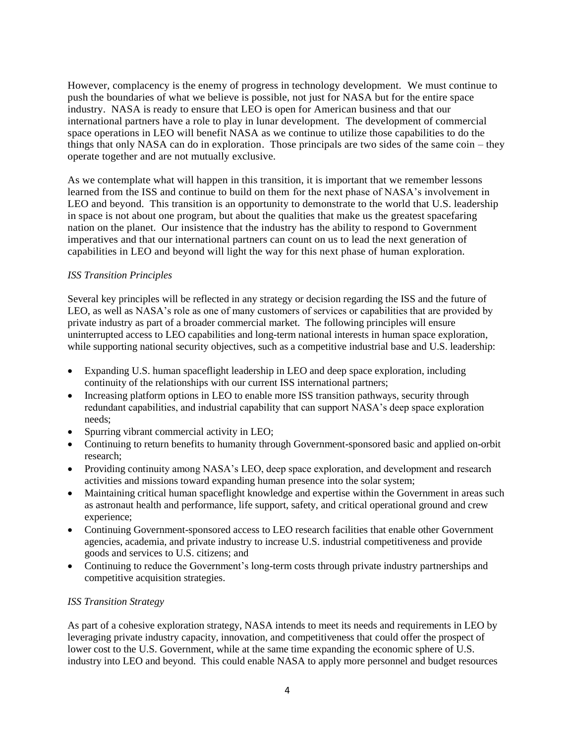However, complacency is the enemy of progress in technology development. We must continue to push the boundaries of what we believe is possible, not just for NASA but for the entire space industry. NASA is ready to ensure that LEO is open for American business and that our international partners have a role to play in lunar development. The development of commercial space operations in LEO will benefit NASA as we continue to utilize those capabilities to do the things that only NASA can do in exploration. Those principals are two sides of the same coin – they operate together and are not mutually exclusive.

As we contemplate what will happen in this transition, it is important that we remember lessons learned from the ISS and continue to build on them for the next phase of NASA's involvement in LEO and beyond. This transition is an opportunity to demonstrate to the world that U.S. leadership in space is not about one program, but about the qualities that make us the greatest spacefaring nation on the planet. Our insistence that the industry has the ability to respond to Government imperatives and that our international partners can count on us to lead the next generation of capabilities in LEO and beyond will light the way for this next phase of human exploration.

## *ISS Transition Principles*

Several key principles will be reflected in any strategy or decision regarding the ISS and the future of LEO, as well as NASA's role as one of many customers of services or capabilities that are provided by private industry as part of a broader commercial market. The following principles will ensure uninterrupted access to LEO capabilities and long-term national interests in human space exploration, while supporting national security objectives, such as a competitive industrial base and U.S. leadership:

- Expanding U.S. human spaceflight leadership in LEO and deep space exploration, including continuity of the relationships with our current ISS international partners;
- Increasing platform options in LEO to enable more ISS transition pathways, security through redundant capabilities, and industrial capability that can support NASA's deep space exploration needs;
- Spurring vibrant commercial activity in LEO;
- Continuing to return benefits to humanity through Government-sponsored basic and applied on-orbit research;
- Providing continuity among NASA's LEO, deep space exploration, and development and research activities and missions toward expanding human presence into the solar system;
- Maintaining critical human spaceflight knowledge and expertise within the Government in areas such as astronaut health and performance, life support, safety, and critical operational ground and crew experience;
- Continuing Government-sponsored access to LEO research facilities that enable other Government agencies, academia, and private industry to increase U.S. industrial competitiveness and provide goods and services to U.S. citizens; and
- Continuing to reduce the Government's long-term costs through private industry partnerships and competitive acquisition strategies.

## *ISS Transition Strategy*

As part of a cohesive exploration strategy, NASA intends to meet its needs and requirements in LEO by leveraging private industry capacity, innovation, and competitiveness that could offer the prospect of lower cost to the U.S. Government, while at the same time expanding the economic sphere of U.S. industry into LEO and beyond. This could enable NASA to apply more personnel and budget resources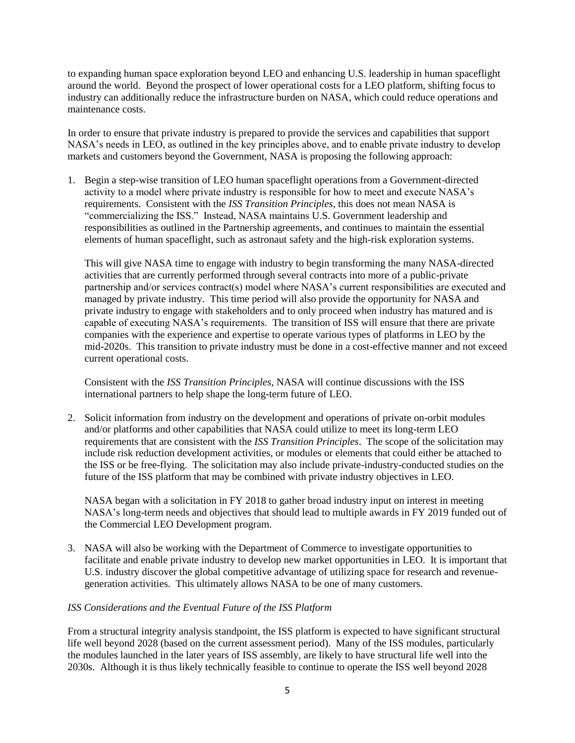to expanding human space exploration beyond LEO and enhancing U.S. leadership in human spaceflight around the world. Beyond the prospect of lower operational costs for a LEO platform, shifting focus to industry can additionally reduce the infrastructure burden on NASA, which could reduce operations and maintenance costs.

In order to ensure that private industry is prepared to provide the services and capabilities that support NASA's needs in LEO, as outlined in the key principles above, and to enable private industry to develop markets and customers beyond the Government, NASA is proposing the following approach:

1. Begin a step-wise transition of LEO human spaceflight operations from a Government-directed activity to a model where private industry is responsible for how to meet and execute NASA's requirements. Consistent with the *ISS Transition Principles*, this does not mean NASA is "commercializing the ISS." Instead, NASA maintains U.S. Government leadership and responsibilities as outlined in the Partnership agreements, and continues to maintain the essential elements of human spaceflight, such as astronaut safety and the high-risk exploration systems.

This will give NASA time to engage with industry to begin transforming the many NASA-directed activities that are currently performed through several contracts into more of a public-private partnership and/or services contract(s) model where NASA's current responsibilities are executed and managed by private industry. This time period will also provide the opportunity for NASA and private industry to engage with stakeholders and to only proceed when industry has matured and is capable of executing NASA's requirements. The transition of ISS will ensure that there are private companies with the experience and expertise to operate various types of platforms in LEO by the mid-2020s. This transition to private industry must be done in a cost-effective manner and not exceed current operational costs.

Consistent with the *ISS Transition Principles*, NASA will continue discussions with the ISS international partners to help shape the long-term future of LEO.

2. Solicit information from industry on the development and operations of private on-orbit modules and/or platforms and other capabilities that NASA could utilize to meet its long-term LEO requirements that are consistent with the *ISS Transition Principles*. The scope of the solicitation may include risk reduction development activities, or modules or elements that could either be attached to the ISS or be free-flying. The solicitation may also include private-industry-conducted studies on the future of the ISS platform that may be combined with private industry objectives in LEO.

NASA began with a solicitation in FY 2018 to gather broad industry input on interest in meeting NASA's long-term needs and objectives that should lead to multiple awards in FY 2019 funded out of the Commercial LEO Development program.

3. NASA will also be working with the Department of Commerce to investigate opportunities to facilitate and enable private industry to develop new market opportunities in LEO. It is important that U.S. industry discover the global competitive advantage of utilizing space for research and revenuegeneration activities. This ultimately allows NASA to be one of many customers.

## *ISS Considerations and the Eventual Future of the ISS Platform*

From a structural integrity analysis standpoint, the ISS platform is expected to have significant structural life well beyond 2028 (based on the current assessment period). Many of the ISS modules, particularly the modules launched in the later years of ISS assembly, are likely to have structural life well into the 2030s. Although it is thus likely technically feasible to continue to operate the ISS well beyond 2028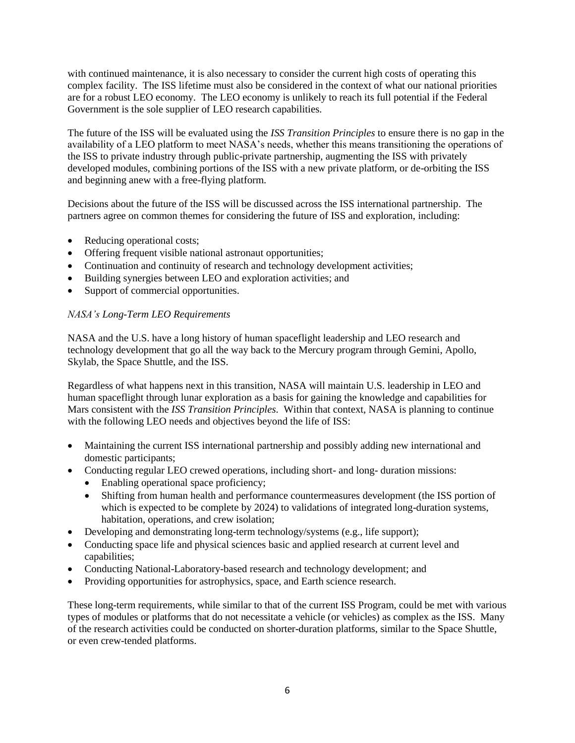with continued maintenance, it is also necessary to consider the current high costs of operating this complex facility. The ISS lifetime must also be considered in the context of what our national priorities are for a robust LEO economy. The LEO economy is unlikely to reach its full potential if the Federal Government is the sole supplier of LEO research capabilities.

The future of the ISS will be evaluated using the *ISS Transition Principles* to ensure there is no gap in the availability of a LEO platform to meet NASA's needs, whether this means transitioning the operations of the ISS to private industry through public-private partnership, augmenting the ISS with privately developed modules, combining portions of the ISS with a new private platform, or de-orbiting the ISS and beginning anew with a free-flying platform.

Decisions about the future of the ISS will be discussed across the ISS international partnership. The partners agree on common themes for considering the future of ISS and exploration, including:

- Reducing operational costs;
- Offering frequent visible national astronaut opportunities;
- Continuation and continuity of research and technology development activities;
- Building synergies between LEO and exploration activities; and
- Support of commercial opportunities.

## *NASA's Long-Term LEO Requirements*

NASA and the U.S. have a long history of human spaceflight leadership and LEO research and technology development that go all the way back to the Mercury program through Gemini, Apollo, Skylab, the Space Shuttle, and the ISS.

Regardless of what happens next in this transition, NASA will maintain U.S. leadership in LEO and human spaceflight through lunar exploration as a basis for gaining the knowledge and capabilities for Mars consistent with the *ISS Transition Principles*. Within that context, NASA is planning to continue with the following LEO needs and objectives beyond the life of ISS:

- Maintaining the current ISS international partnership and possibly adding new international and domestic participants;
- Conducting regular LEO crewed operations, including short- and long- duration missions:
	- Enabling operational space proficiency;
	- Shifting from human health and performance countermeasures development (the ISS portion of which is expected to be complete by 2024) to validations of integrated long-duration systems, habitation, operations, and crew isolation;
- Developing and demonstrating long-term technology/systems (e.g., life support);
- Conducting space life and physical sciences basic and applied research at current level and capabilities;
- Conducting National-Laboratory-based research and technology development; and
- Providing opportunities for astrophysics, space, and Earth science research.

These long-term requirements, while similar to that of the current ISS Program, could be met with various types of modules or platforms that do not necessitate a vehicle (or vehicles) as complex as the ISS. Many of the research activities could be conducted on shorter-duration platforms, similar to the Space Shuttle, or even crew-tended platforms.